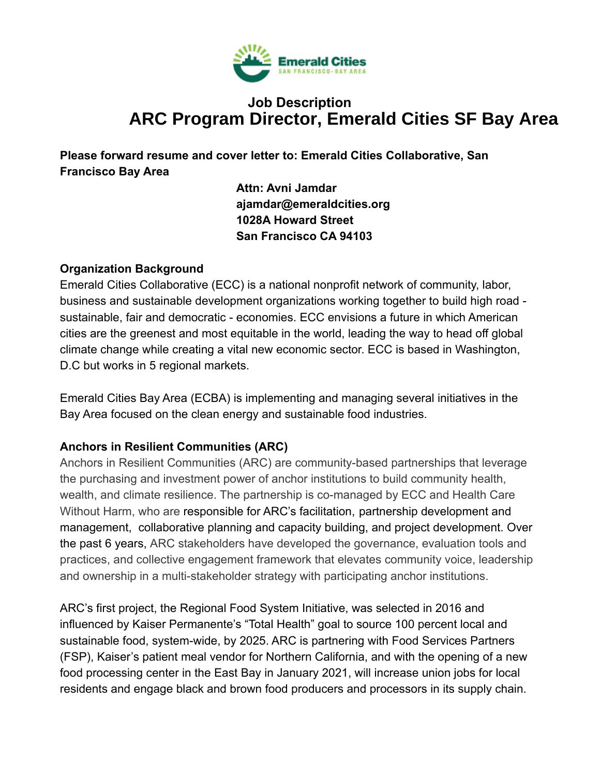

# **Job Description ARC Program Director, Emerald Cities SF Bay Area**

**Please forward resume and cover letter to: Emerald Cities Collaborative, San Francisco Bay Area**

> **Attn: Avni Jamdar ajamdar@emeraldcities.org 1028A Howard Street San Francisco CA 94103**

## **Organization Background**

Emerald Cities Collaborative (ECC) is a national nonprofit network of community, labor, business and sustainable development organizations working together to build high road sustainable, fair and democratic - economies. ECC envisions a future in which American cities are the greenest and most equitable in the world, leading the way to head off global climate change while creating a vital new economic sector. ECC is based in Washington, D.C but works in 5 regional markets.

Emerald Cities Bay Area (ECBA) is implementing and managing several initiatives in the Bay Area focused on the clean energy and sustainable food industries.

# **Anchors in Resilient Communities (ARC)**

Anchors in Resilient Communities (ARC) are community-based partnerships that leverage the purchasing and investment power of anchor institutions to build community health, wealth, and climate resilience. The partnership is co-managed by ECC and Health Care Without Harm, who are responsible for ARC's facilitation, partnership development and management, collaborative planning and capacity building, and project development. Over the past 6 years, ARC stakeholders have developed the governance, evaluation tools and practices, and collective engagement framework that elevates community voice, leadership and ownership in a multi-stakeholder strategy with participating anchor institutions.

ARC's first project, the Regional Food System Initiative, was selected in 2016 and influenced by Kaiser Permanente's "Total Health" goal to source 100 percent local and sustainable food, system-wide, by 2025. ARC is partnering with Food Services Partners (FSP), Kaiser's patient meal vendor for Northern California, and with the opening of a new food processing center in the East Bay in January 2021, will increase union jobs for local residents and engage black and brown food producers and processors in its supply chain.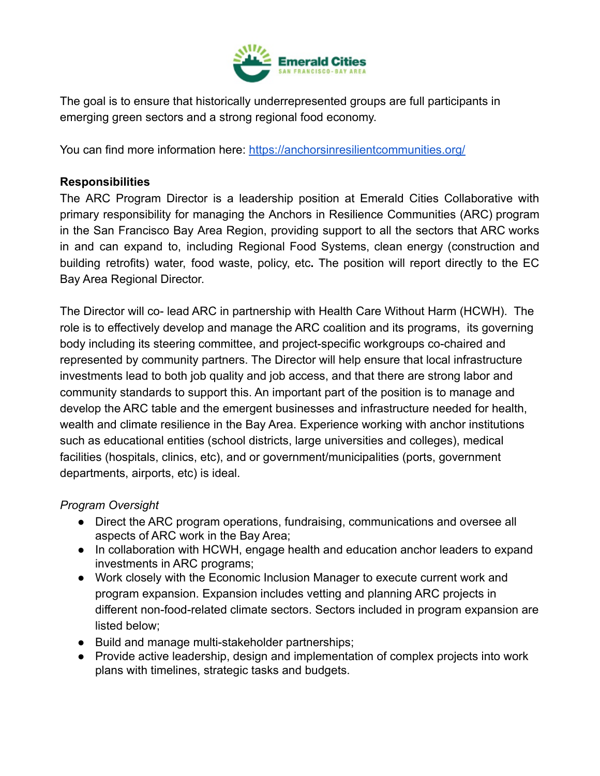

The goal is to ensure that historically underrepresented groups are full participants in emerging green sectors and a strong regional food economy.

You can find more information here: https://anchorsinresilientcommunities.org/

# **Responsibilities**

The ARC Program Director is a leadership position at Emerald Cities Collaborative with primary responsibility for managing the Anchors in Resilience Communities (ARC) program in the San Francisco Bay Area Region, providing support to all the sectors that ARC works in and can expand to, including Regional Food Systems, clean energy (construction and building retrofits) water, food waste, policy, etc. The position will report directly to the EC Bay Area Regional Director.

The Director will co- lead ARC in partnership with Health Care Without Harm (HCWH). The role is to effectively develop and manage the ARC coalition and its programs, its governing body including its steering committee, and project-specific workgroups co-chaired and represented by community partners. The Director will help ensure that local infrastructure investments lead to both job quality and job access, and that there are strong labor and community standards to support this. An important part of the position is to manage and develop the ARC table and the emergent businesses and infrastructure needed for health, wealth and climate resilience in the Bay Area. Experience working with anchor institutions such as educational entities (school districts, large universities and colleges), medical facilities (hospitals, clinics, etc), and or government/municipalities (ports, government departments, airports, etc) is ideal.

# **Program Oversight**

- Direct the ARC program operations, fundraising, communications and oversee all aspects of ARC work in the Bay Area:
- In collaboration with HCWH, engage health and education anchor leaders to expand investments in ARC programs;
- Work closely with the Economic Inclusion Manager to execute current work and program expansion. Expansion includes vetting and planning ARC projects in different non-food-related climate sectors. Sectors included in program expansion are listed below:
- **Build and manage multi-stakeholder partnerships:**
- Provide active leadership, design and implementation of complex projects into work plans with timelines, strategic tasks and budgets.